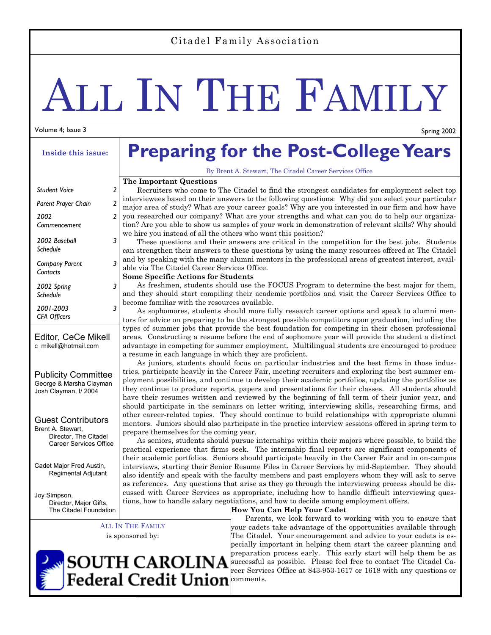#### Citadel Family Association

# ALL IN THE FAMILY

#### Volume 4; Issue 3

#### **Inside this issue:**

| <b>Student Voice</b>              | 7 |
|-----------------------------------|---|
| Parent Prayer Chain               | 2 |
| 2002<br>Commencement              | 2 |
| 2002 Baseball<br>Schedule         | 3 |
| <b>Company Parent</b><br>Contacts | 3 |
| 2002 Spring<br>Schedule           | 3 |
| 2001-2003<br><b>CFA Officers</b>  |   |
|                                   |   |

#### Editor, CeCe Mikell c\_mikell@hotmail.com

Publicity Committee George & Marsha Clayman Josh Clayman, I/ 2004

Guest Contributors Brent A. Stewart, Director, The Citadel Career Services Office

Cadet Major Fred Austin, Regimental Adjutant

Joy Simpson, Director, Major Gifts, The Citadel Foundation

> ALL IN THE FAMILY is sponsored by:

## **Preparing for the Post-College Years**

By Brent A. Stewart, The Citadel Career Services Office

#### **The Important Questions**

 Recruiters who come to The Citadel to find the strongest candidates for employment select top interviewees based on their answers to the following questions: Why did you select your particular major area of study? What are your career goals? Why are you interested in our firm and how have you researched our company? What are your strengths and what can you do to help our organization? Are you able to show us samples of your work in demonstration of relevant skills? Why should we hire you instead of all the others who want this position?

 These questions and their answers are critical in the competition for the best jobs. Students can strengthen their answers to these questions by using the many resources offered at The Citadel and by speaking with the many alumni mentors in the professional areas of greatest interest, available via The Citadel Career Services Office.

#### **Some Specific Actions for Students**

 As freshmen, students should use the FOCUS Program to determine the best major for them, and they should start compiling their academic portfolios and visit the Career Services Office to become familiar with the resources available.

 As sophomores, students should more fully research career options and speak to alumni mentors for advice on preparing to be the strongest possible competitors upon graduation, including the types of summer jobs that provide the best foundation for competing in their chosen professional areas. Constructing a resume before the end of sophomore year will provide the student a distinct advantage in competing for summer employment. Multilingual students are encouraged to produce a resume in each language in which they are proficient.

 As juniors, students should focus on particular industries and the best firms in those industries, participate heavily in the Career Fair, meeting recruiters and exploring the best summer employment possibilities, and continue to develop their academic portfolios, updating the portfolios as they continue to produce reports, papers and presentations for their classes. All students should have their resumes written and reviewed by the beginning of fall term of their junior year, and should participate in the seminars on letter writing, interviewing skills, researching firms, and other career-related topics. They should continue to build relationships with appropriate alumni mentors. Juniors should also participate in the practice interview sessions offered in spring term to prepare themselves for the coming year.

 As seniors, students should pursue internships within their majors where possible, to build the practical experience that firms seek. The internship final reports are significant components of their academic portfolios. Seniors should participate heavily in the Career Fair and in on-campus interviews, starting their Senior Resume Files in Career Services by mid-September. They should also identify and speak with the faculty members and past employers whom they will ask to serve as references. Any questions that arise as they go through the interviewing process should be discussed with Career Services as appropriate, including how to handle difficult interviewing questions, how to handle salary negotiations, and how to decide among employment offers.

#### **How You Can Help Your Cadet**

 Parents, we look forward to working with you to ensure that your cadets take advantage of the opportunities available through The Citadel. Your encouragement and advice to your cadets is especially important in helping them start the career planning and preparation process early. This early start will help them be as successful as possible. Please feel free to contact The Citadel Career Services Office at 843-953-1617 or 1618 with any questions or comments.



Spring 2002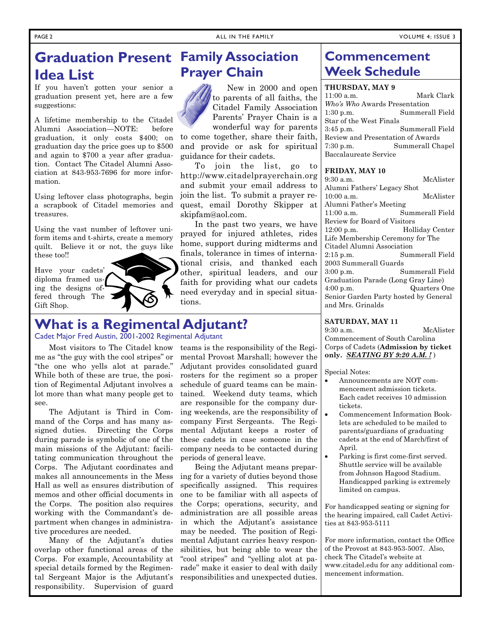to come together, share their faith, and provide or ask for spiritual

 To join the list, go to http://www.citadelprayerchain.org and submit your email address to join the list. To submit a prayer request, email Dorothy Skipper at

 In the past two years, we have prayed for injured athletes, rides

 New in 2000 and open to parents of all faiths, the Citadel Family Association Parents' Prayer Chain is a wonderful way for parents

**Prayer Chain** 

guidance for their cadets.

skipfam@aol.com.

## **Graduation Present Family Association Idea List**

If you haven't gotten your senior a graduation present yet, here are a few suggestions:

A lifetime membership to the Citadel Alumni Association—NOTE: before graduation, it only costs \$400; on graduation day the price goes up to \$500 and again to \$700 a year after graduation. Contact The Citadel Alumni Association at 843-953-7696 for more information.

Using leftover class photographs, begin a scrapbook of Citadel memories and treasures.

Using the vast number of leftover uniform items and t-shirts, create a memory quilt. Believe it or not, the guys like these too!!

Have your cadets' diploma framed using the designs offered through The Gift Shop.



Cadet Major Fred Austin, 2001-2002 Regimental Adjutant

 Most visitors to The Citadel know me as "the guy with the cool stripes" or "the one who yells alot at parade." While both of these are true, the position of Regimental Adjutant involves a lot more than what many people get to see.

 The Adjutant is Third in Command of the Corps and has many assigned duties. Directing the Corps during parade is symbolic of one of the main missions of the Adjutant: facilitating communication throughout the Corps. The Adjutant coordinates and makes all announcements in the Mess Hall as well as ensures distribution of memos and other official documents in the Corps. The position also requires working with the Commandant's department when changes in administrative procedures are needed.

 Many of the Adjutant's duties overlap other functional areas of the Corps. For example, Accountability at special details formed by the Regimental Sergeant Major is the Adjutant's responsibility. Supervision of guard

teams is the responsibility of the Regimental Provost Marshall; however the Adjutant provides consolidated guard rosters for the regiment so a proper schedule of guard teams can be maintained. Weekend duty teams, which are responsible for the company during weekends, are the responsibility of company First Sergeants. The Regimental Adjutant keeps a roster of these cadets in case someone in the company needs to be contacted during periods of general leave.

 Being the Adjutant means preparing for a variety of duties beyond those specifically assigned. This requires one to be familiar with all aspects of the Corps; operations, security, and administration are all possible areas in which the Adjutant's assistance may be needed. The position of Regimental Adjutant carries heavy responsibilities, but being able to wear the "cool stripes" and "yelling alot at parade" make it easier to deal with daily responsibilities and unexpected duties.

### **Commencement Week Schedule**

#### **THURSDAY, MAY 9**

11:00 a.m. Mark Clark *Who's Who* Awards Presentation 1:30 p.m. Summerall Field Star of the West Finals 3:45 p.m. Summerall Field Review and Presentation of Awards 7:30 p.m. Summerall Chapel Baccalaureate Service

#### **FRIDAY, MAY 10**

| $9:30$ a.m.                           | McAlister       |
|---------------------------------------|-----------------|
| Alumni Fathers' Legacy Shot           |                 |
| 10:00a.m.                             | McAlister       |
| Alumni Father's Meeting               |                 |
| 11:00a.m.                             | Summerall Field |
| Review for Board of Visitors          |                 |
| $12:00$ p.m.                          | Holliday Center |
| Life Membership Ceremony for The      |                 |
| Citadel Alumni Association            |                 |
| $2:15$ p.m.                           | Summerall Field |
| 2003 Summerall Guards                 |                 |
| $3:00$ p.m.                           | Summerall Field |
| Graduation Parade (Long Gray Line)    |                 |
| $4:00$ p.m.                           | Quarters One    |
| Senior Garden Party hosted by General |                 |
| and Mrs. Grinalds                     |                 |

#### **SATURDAY, MAY 11**

9:30 a.m. McAlister Commencement of South Carolina Corps of Cadets (**Admission by ticket only.** *SEATING BY 9:20 A.M. !* )

Special Notes:

- Announcements are NOT commencement admission tickets. Each cadet receives 10 admission tickets.
- Commencement Information Booklets are scheduled to be mailed to parents/guardians of graduating cadets at the end of March/first of April.
- Parking is first come-first served. Shuttle service will be available from Johnson Hagood Stadium. Handicapped parking is extremely limited on campus.

For handicapped seating or signing for the hearing impaired, call Cadet Activities at 843-953-5111

For more information, contact the Office of the Provost at 843-953-5007. Also, check The Citadel's website at www.citadel.edu for any additional commencement information.

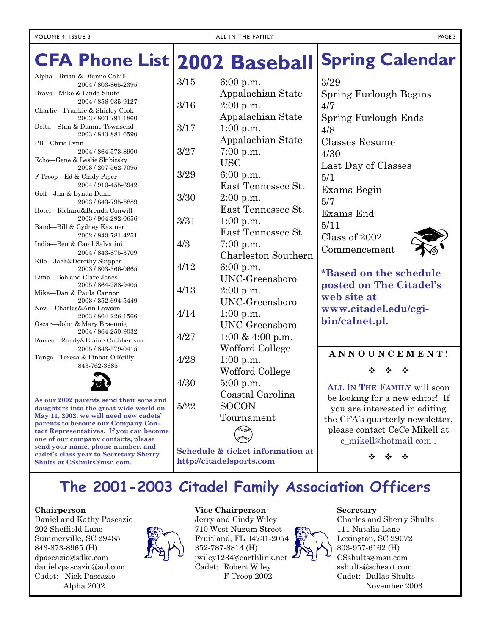#### **Spring Calendar**  3/29 Alpha—Brian & Dianne Cahill 2004 / 803-865-2395 **CFA Phone List 2002 Baseball**  3/15 6:00 p.m.

Bravo—Mike & Linda Shute 2004 / 856-935-9127 Charlie—Frankie & Shirley Cook 2003 / 803-791-1860 Delta—Stan & Dianne Townsend 2003 / 843-881-6590 PB—Chris Lynn 2004 / 864-573-8900 Echo—Gene & Leslie Skibitsky 2003 / 207-562-7095 F Troop—Ed & Cindy Piper 2004 / 910-455-6942 Golf—Jim & Lynda Dunn 2003 / 843-795-8889 Hotel—Richard&Brenda Conwill 2003 / 904-292-0656 Band—Bill & Cydney Kastner 2002 / 843-781-4251 India—Ben & Carol Salvatini 2004 / 843-875-3709 Kilo—Jack&Dorothy Skipper 2003 / 803-366-0665 Lima—Bob and Clare Jones 2005 / 864-288-9405 Mike—Dan & Paula Cannon 2003 / 352-694-5449 Nov.—Charles&Ann Lawson 2003 / 864-226-1566 Oscar—John & Mary Braeunig 2004 / 864-250-9032 Romeo—Randy&Elaine Cuthbertson 2005 / 843-579-0415 Tango—Teresa & Finbar O'Reilly 843-762-3685



**As our 2002 parents send their sons and daughters into the great wide world on May 11, 2002, we will need new cadets' parents to become our Company Contact Representatives. If you can become one of our company contacts, please send your name, phone number, and cadet's class year to Secretary Sherry Shults at CSshults@msn.com.**

| 3/15 | 6:00 p.m.                  |
|------|----------------------------|
|      | Appalachian State          |
| 3/16 | 2:00 p.m.                  |
|      | Appalachian State          |
| 3/17 | 1:00 p.m.                  |
|      | Appalachian State          |
| 3/27 | 7:00 p.m.                  |
|      | <b>USC</b>                 |
| 3/29 | 6:00 p.m.                  |
|      | East Tennessee St.         |
| 3/30 | $2:00$ p.m.                |
|      | East Tennessee St.         |
| 3/31 | $1:00$ p.m.                |
|      | East Tennessee St.         |
| 4/3  | $7:00$ p.m.                |
|      | <b>Charleston Southern</b> |
| 4/12 | 6:00 p.m.                  |
|      | <b>UNC-Greensboro</b>      |
| 4/13 | $2:00$ p.m.                |
|      | UNC-Greensboro             |
| 4/14 | $1:00$ p.m.                |
|      | <b>UNC-Greensboro</b>      |
| 4/27 | 1:00 & 4:00 p.m.           |
|      | Wofford College            |
| 4/28 | $1:00$ p.m.                |
|      | Wofford College            |
| 4/30 | 5:00 p.m.                  |
|      | Coastal Carolina           |
| 5/22 | <b>SOCON</b>               |
|      | Tournament                 |
|      |                            |
|      |                            |

**Schedule & ticket information at http://citadelsports.com**

Spring Furlough Begins 4/7 Spring Furlough Ends 4/8 Classes Resume 4/30 Last Day of Classes 5/1 Exams Begin 5/7 Exams End 5/11 Class of 2002 Commencement



**\*Based on the schedule posted on The Citadel's web site at www.citadel.edu/cgibin/calnet.pl.**

#### **A N N O U N C E M E N T !**

 $\Phi = \Phi = \Phi$ 

**ALL IN THE FAMILY** will soon be looking for a new editor! If you are interested in editing the CFA's quarterly newsletter, please contact CeCe Mikell at c\_mikell@hotmail.com .

❖

## **The 2001-2003 Citadel Family Association Officers**

#### **Chairperson**

Daniel and Kathy Pascazio 202 Sheffield Lane Summerville, SC 29485 843-873-8965 (H) dpascazio@sdkc.com danielvpascazio@aol.com Cadet: Nick Pascazio Alpha 2002



#### **Vice Chairperson**

Jerry and Cindy Wiley 710 West Nuzum Street Fruitland, FL 34731-2054 352-787-8814 (H) jwiley1234@earthlink.net Cadet: Robert Wiley F-Troop 2002



#### **Secretary**

Charles and Sherry Shults 111 Natalia Lane Lexington, SC 29072 803-957-6162 (H) CSshults@msn.com sshults@scheart.com Cadet: Dallas Shults November 2003